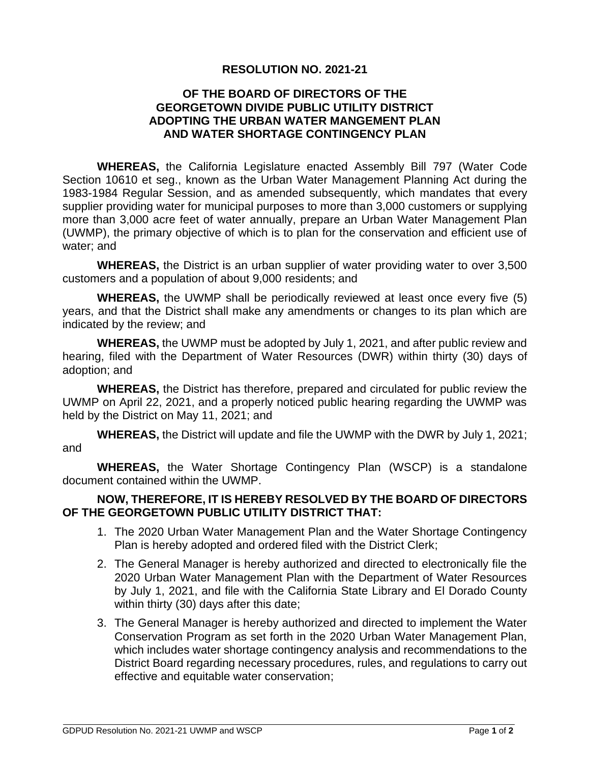## **RESOLUTION NO. 2021-21**

## **OF THE BOARD OF DIRECTORS OF THE GEORGETOWN DIVIDE PUBLIC UTILITY DISTRICT ADOPTING THE URBAN WATER MANGEMENT PLAN AND WATER SHORTAGE CONTINGENCY PLAN**

**WHEREAS,** the California Legislature enacted Assembly Bill 797 (Water Code Section 10610 et seg., known as the Urban Water Management Planning Act during the 1983-1984 Regular Session, and as amended subsequently, which mandates that every supplier providing water for municipal purposes to more than 3,000 customers or supplying more than 3,000 acre feet of water annually, prepare an Urban Water Management Plan (UWMP), the primary objective of which is to plan for the conservation and efficient use of water; and

**WHEREAS,** the District is an urban supplier of water providing water to over 3,500 customers and a population of about 9,000 residents; and

**WHEREAS,** the UWMP shall be periodically reviewed at least once every five (5) years, and that the District shall make any amendments or changes to its plan which are indicated by the review; and

**WHEREAS,** the UWMP must be adopted by July 1, 2021, and after public review and hearing, filed with the Department of Water Resources (DWR) within thirty (30) days of adoption; and

**WHEREAS,** the District has therefore, prepared and circulated for public review the UWMP on April 22, 2021, and a properly noticed public hearing regarding the UWMP was held by the District on May 11, 2021; and

**WHEREAS,** the District will update and file the UWMP with the DWR by July 1, 2021; and

**WHEREAS,** the Water Shortage Contingency Plan (WSCP) is a standalone document contained within the UWMP.

## **NOW, THEREFORE, IT IS HEREBY RESOLVED BY THE BOARD OF DIRECTORS OF THE GEORGETOWN PUBLIC UTILITY DISTRICT THAT:**

- 1. The 2020 Urban Water Management Plan and the Water Shortage Contingency Plan is hereby adopted and ordered filed with the District Clerk;
- 2. The General Manager is hereby authorized and directed to electronically file the 2020 Urban Water Management Plan with the Department of Water Resources by July 1, 2021, and file with the California State Library and El Dorado County within thirty (30) days after this date;
- 3. The General Manager is hereby authorized and directed to implement the Water Conservation Program as set forth in the 2020 Urban Water Management Plan, which includes water shortage contingency analysis and recommendations to the District Board regarding necessary procedures, rules, and regulations to carry out effective and equitable water conservation;